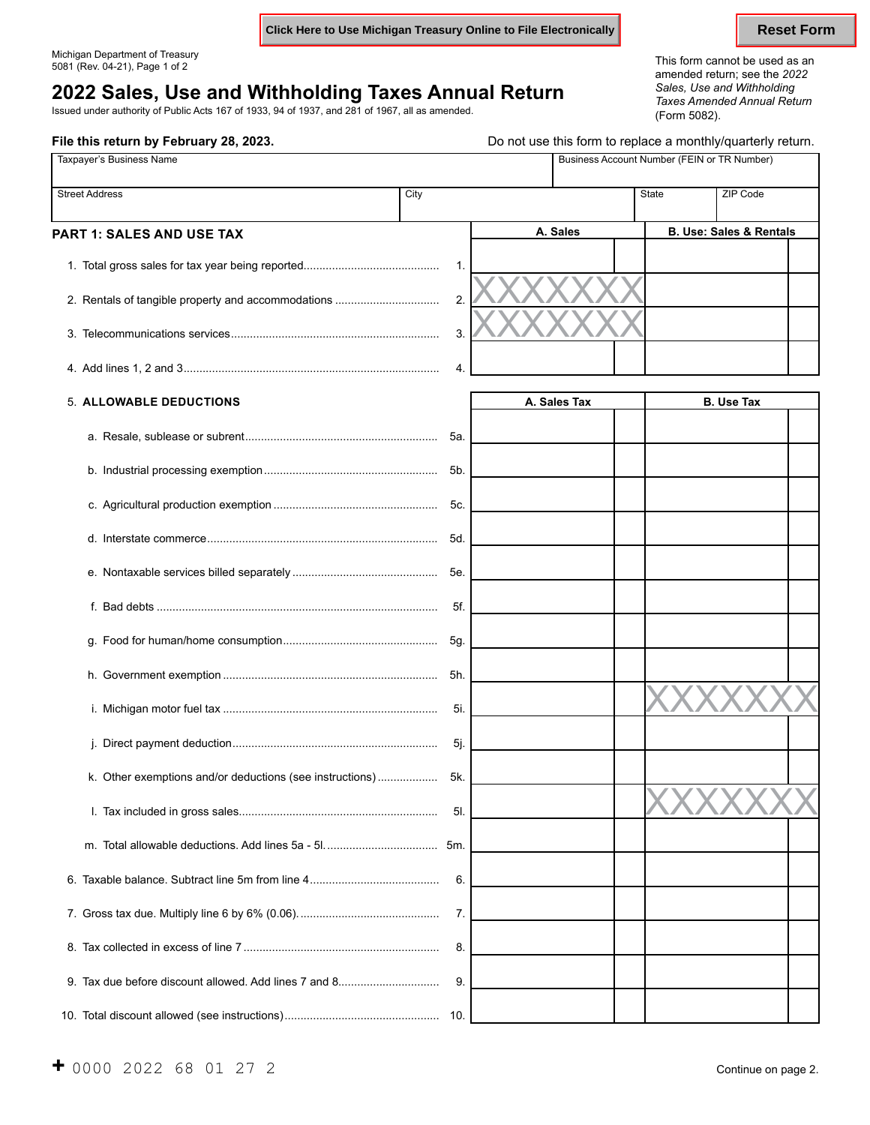**Click Here to Use Michigan Treasury Online to File Electronically <b>Reset Form** Reset Form

**File this return by February 28, 2023. Do not use this form to replace a monthly/quarterly return.** 

# *Sales, Use and Withholding* **2022 Sales, Use and Withholding Taxes Annual Return** *Taxes Amended Annual Return*

Issued under authority of Public Acts 167 of 1933, 94 of 1937, and 281 of 1967, all as amended. (Form 5082).

Michigan Department of Treasury This form cannot be used as an 5081 (Rev. 04-21), Page 1 of 2 amended return; see the *<sup>2022</sup>*

| Taxpayer's Business Name                                 |        |  | Business Account Number (FEIN or TR Number) |                          |             |                                    |  |
|----------------------------------------------------------|--------|--|---------------------------------------------|--------------------------|-------------|------------------------------------|--|
| <b>Street Address</b>                                    | City   |  |                                             | <b>State</b>             |             | ZIP Code                           |  |
| PART 1: SALES AND USE TAX                                |        |  | A. Sales                                    |                          |             | <b>B. Use: Sales &amp; Rentals</b> |  |
|                                                          | 1.     |  |                                             |                          |             |                                    |  |
| 2. Rentals of tangible property and accommodations       | 2.     |  |                                             |                          |             |                                    |  |
|                                                          | 3.     |  |                                             |                          |             |                                    |  |
|                                                          | 4.     |  |                                             |                          |             |                                    |  |
| <b>5. ALLOWABLE DEDUCTIONS</b>                           |        |  | A. Sales Tax                                |                          |             | <b>B.</b> Use Tax                  |  |
|                                                          | 5а.    |  |                                             |                          |             |                                    |  |
|                                                          | 5b.    |  |                                             |                          |             |                                    |  |
|                                                          | 5c.    |  |                                             |                          |             |                                    |  |
|                                                          | 5d.    |  |                                             |                          |             |                                    |  |
|                                                          | 5e.    |  |                                             |                          |             |                                    |  |
|                                                          | 5f.    |  |                                             |                          |             |                                    |  |
|                                                          | 5g.    |  |                                             |                          |             |                                    |  |
|                                                          | 5h.    |  |                                             |                          |             |                                    |  |
|                                                          | 5i.    |  |                                             |                          |             |                                    |  |
|                                                          | $5j$ . |  |                                             |                          |             |                                    |  |
| k. Other exemptions and/or deductions (see instructions) | 5k.    |  |                                             | $\overline{\phantom{a}}$ | 73.73.73.73 | $\overline{ }$                     |  |
|                                                          | 5I.    |  |                                             |                          |             |                                    |  |
|                                                          |        |  |                                             |                          |             |                                    |  |
|                                                          | 6.     |  |                                             |                          |             |                                    |  |
|                                                          | 7.     |  |                                             |                          |             |                                    |  |
|                                                          | 8.     |  |                                             |                          |             |                                    |  |
|                                                          | 9.     |  |                                             |                          |             |                                    |  |
|                                                          |        |  |                                             |                          |             |                                    |  |

10. Total discount allowed (see instructions)................................................. 10.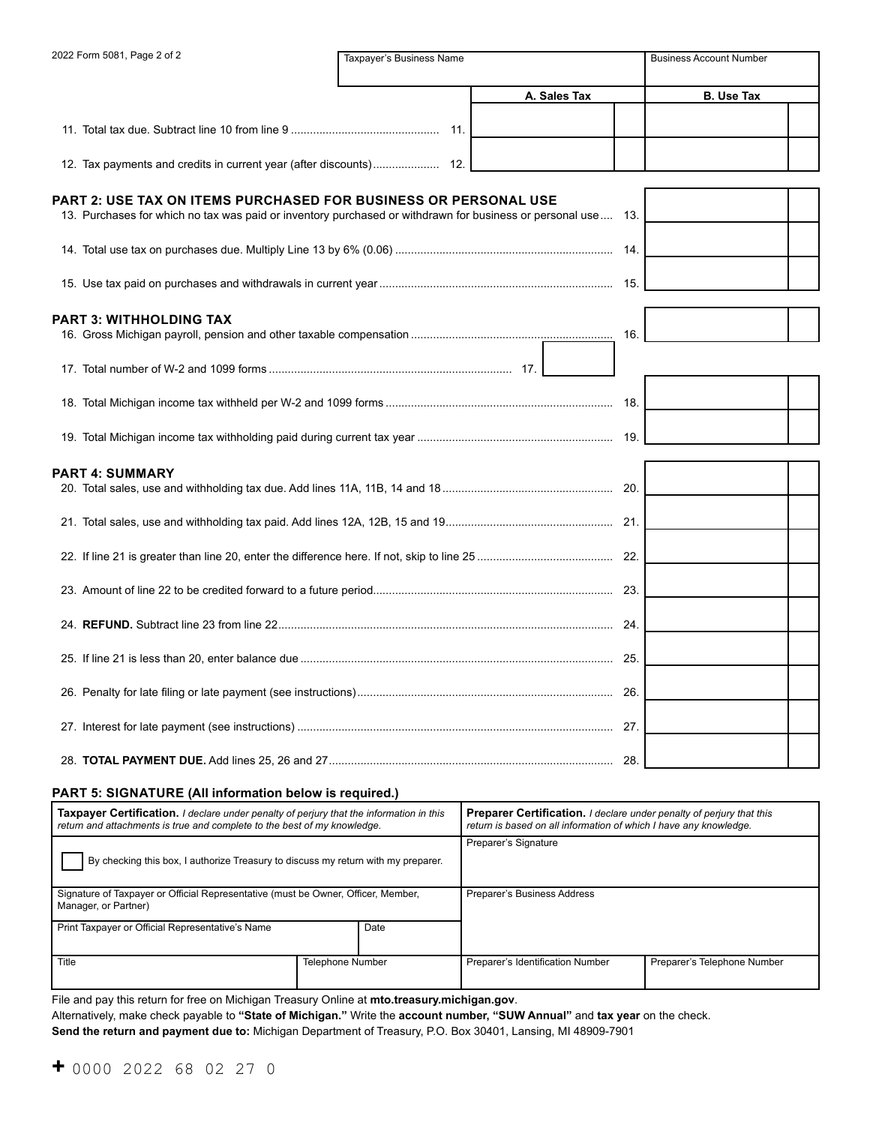| 2022 Form 5081, Page 2 of 2                                                                                                                                                     | Taxpayer's Business Name |              | <b>Business Account Number</b> |
|---------------------------------------------------------------------------------------------------------------------------------------------------------------------------------|--------------------------|--------------|--------------------------------|
|                                                                                                                                                                                 |                          | A. Sales Tax | <b>B.</b> Use Tax              |
|                                                                                                                                                                                 |                          |              |                                |
|                                                                                                                                                                                 |                          |              |                                |
|                                                                                                                                                                                 |                          |              |                                |
| PART 2: USE TAX ON ITEMS PURCHASED FOR BUSINESS OR PERSONAL USE<br>13. Purchases for which no tax was paid or inventory purchased or withdrawn for business or personal use 13. |                          |              |                                |
|                                                                                                                                                                                 |                          |              |                                |
|                                                                                                                                                                                 |                          |              |                                |
| PART 3: WITHHOLDING TAX                                                                                                                                                         |                          |              |                                |
|                                                                                                                                                                                 |                          | 16.          |                                |
|                                                                                                                                                                                 |                          |              |                                |
|                                                                                                                                                                                 |                          |              |                                |
|                                                                                                                                                                                 |                          |              |                                |
| PART 4: SUMMARY                                                                                                                                                                 |                          |              |                                |
|                                                                                                                                                                                 |                          |              |                                |
|                                                                                                                                                                                 |                          |              |                                |
|                                                                                                                                                                                 |                          |              |                                |
|                                                                                                                                                                                 |                          |              |                                |
|                                                                                                                                                                                 |                          |              |                                |
|                                                                                                                                                                                 |                          |              |                                |
|                                                                                                                                                                                 |                          |              |                                |
|                                                                                                                                                                                 |                          |              |                                |
|                                                                                                                                                                                 |                          |              |                                |

#### **PART 5: SIGNATURE (All information below is required.)**

| <b>Taxpayer Certification.</b> I declare under penalty of perjury that the information in this<br>return and attachments is true and complete to the best of my knowledge. |                         | <b>Preparer Certification.</b> I declare under penalty of perjury that this<br>return is based on all information of which I have any knowledge. |                             |  |
|----------------------------------------------------------------------------------------------------------------------------------------------------------------------------|-------------------------|--------------------------------------------------------------------------------------------------------------------------------------------------|-----------------------------|--|
| By checking this box, I authorize Treasury to discuss my return with my preparer.                                                                                          |                         | Preparer's Signature                                                                                                                             |                             |  |
| Signature of Taxpayer or Official Representative (must be Owner, Officer, Member,<br>Manager, or Partner)                                                                  |                         | Preparer's Business Address                                                                                                                      |                             |  |
| Print Taxpayer or Official Representative's Name                                                                                                                           | Date                    |                                                                                                                                                  |                             |  |
| Title                                                                                                                                                                      | <b>Telephone Number</b> | Preparer's Identification Number                                                                                                                 | Preparer's Telephone Number |  |

File and pay this return for free on Michigan Treasury Online at **[mto.treasury.michigan.gov](https://mto.treasury.michigan.gov)**.

Alternatively, make check payable to **"State of Michigan."** Write the **account number, "SUW Annual"** and **tax year** on the check.

**Send the return and payment due to:** Michigan Department of Treasury, P.O. Box 30401, Lansing, MI 48909-7901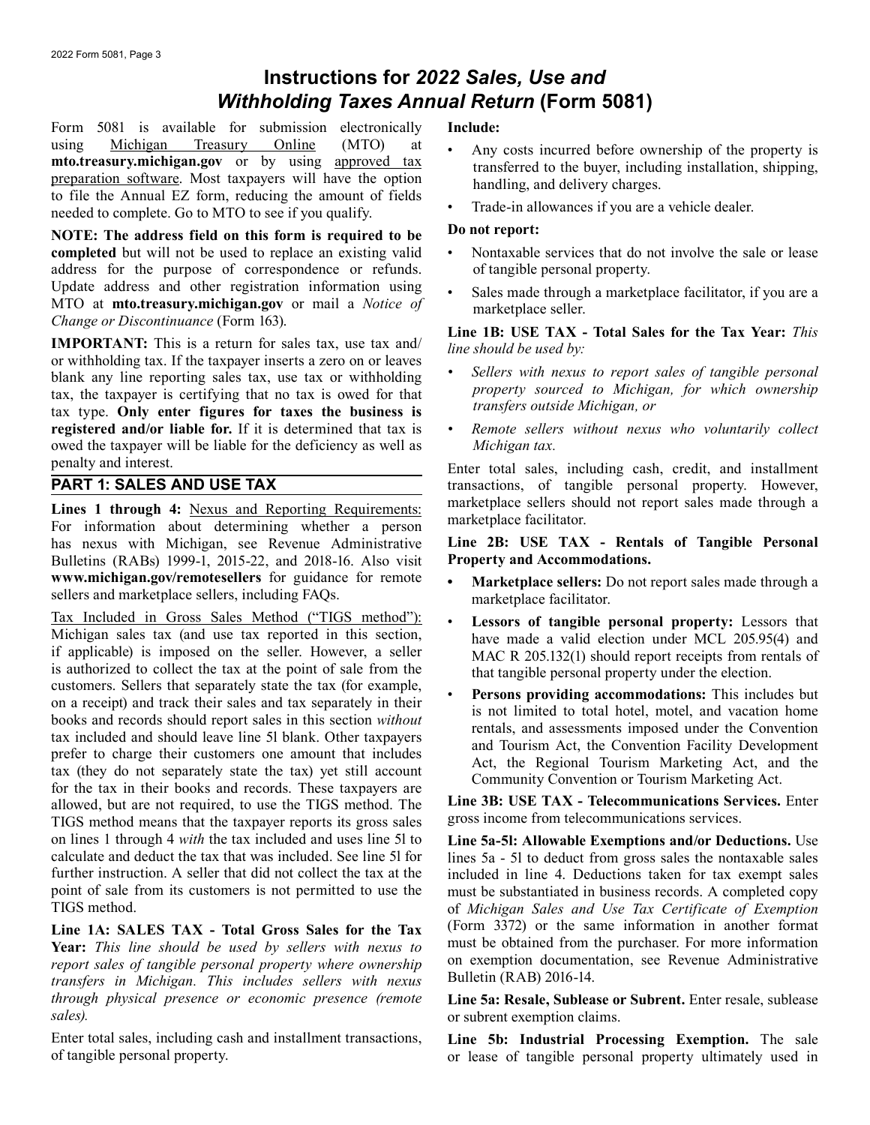## **Instructions for** *2022 Sales, Use and Withholding Taxes Annual Return* **(Form 5081)**

Form 5081 is available for submission electronically using Michigan Treasury Online (MTO) at **[mto.treasury.michigan.gov](https://mto.treasury.michigan.gov)** or by using approved tax preparation software. Most taxpayers will have the option to file the Annual EZ form, reducing the amount of fields needed to complete. Go to MTO to see if you qualify.

**NOTE: The address field on this form is required to be completed** but will not be used to replace an existing valid address for the purpose of correspondence or refunds. [Update addre](https://michigan.gov)ss and other registration information using MTO at **[mto.treasury.michigan.gov](https://mto.treasury.michigan.gov)** or mail a *Notice of Change or Discontinuance* (Form 163).

**IMPORTANT:** This is a return for sales tax, use tax and/ or withholding tax. If the taxpayer inserts a zero on or leaves blank any line reporting sales tax, use tax or withholding tax, the taxpayer is certifying that no tax is owed for that tax type. **Only enter figures for taxes the business is registered and/or liable for.** If it is determined that tax is owed the taxpayer will be liable for the deficiency as well as penalty and interest.

## **PART 1: SALES AND USE TAX**

Lines 1 through 4: Nexus and Reporting Requirements: For information about determining whether a person has nexus with Mic[higan, see Revenue Administra](www.michigan.gov/remotesellers)tive Bulletins (RABs) 19[99-1, 2015-22, and 2018-16. Also v](www.michigan.gov/remotesellers)isit **<www.michigan.gov/remotesellers>** for guidance for remote sellers and marketplace sellers, including FAQs.

Tax Included in Gross Sales Method ("TIGS method"): Michigan sales tax (and use tax reported in this section, if applicable) is imposed on the seller. However, a seller is authorized to collect the tax at the point of sale from the customers. Sellers that separately state the tax (for example, on a receipt) and track their sales and tax separately in their books and records should report sales in this section *without*  tax included and should leave line 5l blank. Other taxpayers prefer to charge their customers one amount that includes tax (they do not separately state the tax) yet still account for the tax in their books and records. These taxpayers are allowed, but are not required, to use the TIGS method. The TIGS method means that the taxpayer reports its gross sales on lines 1 through 4 *with* the tax included and uses line 5l to calculate and deduct the tax that was included. See line 5l for further instruction. A seller that did not collect the tax at the point of sale from its customers is not permitted to use the TIGS method.

**Line 1A: SALES TAX - Total Gross Sales for the Tax Year:** *This line should be used by sellers with nexus to report sales of tangible personal property where ownership transfers in Michigan. This includes sellers with nexus through physical presence or economic presence (remote sales).* 

Enter total sales, including cash and installment transactions, of tangible personal property.

### **Include:**

- Any costs incurred before ownership of the property is transferred to the buyer, including installation, shipping, handling, and delivery charges.
- Trade-in allowances if you are a vehicle dealer.

#### **Do not report:**

- Nontaxable services that do not involve the sale or lease of tangible personal property.
- Sales made through a marketplace facilitator, if you are a marketplace seller.

#### **Line 1B: USE TAX - Total Sales for the Tax Year:** *This line should be used by:*

- *Sellers with nexus to report sales of tangible personal property sourced to Michigan, for which ownership transfers outside Michigan, or*
- *Remote sellers without nexus who voluntarily collect Michigan tax.*

Enter total sales, including cash, credit, and installment transactions, of tangible personal property. However, marketplace sellers should not report sales made through a marketplace facilitator.

#### **Line 2B: USE TAX - Rentals of Tangible Personal Property and Accommodations.**

- **• Marketplace sellers:** Do not report sales made through a marketplace facilitator.
- **Lessors of tangible personal property:** Lessors that have made a valid election under MCL 205.95(4) and MAC R 205.132(1) should report receipts from rentals of that tangible personal property under the election.
- **Persons providing accommodations:** This includes but is not limited to total hotel, motel, and vacation home rentals, and assessments imposed under the Convention and Tourism Act, the Convention Facility Development Act, the Regional Tourism Marketing Act, and the Community Convention or Tourism Marketing Act.

**Line 3B: USE TAX - Telecommunications Services.** Enter gross income from telecommunications services.

**Line 5a-5l: Allowable Exemptions and/or Deductions.** Use lines 5a - 5l to deduct from gross sales the nontaxable sales included in line 4. Deductions taken for tax exempt sales must be substantiated in business records. A completed copy of *Michigan Sales and Use Tax Certificate of Exemption*  (Form 3372) or the same information in another format must be obtained from the purchaser. For more information on exemption documentation, see Revenue Administrative Bulletin (RAB) 2016-14.

Line 5a: Resale, Sublease or Subrent. Enter resale, sublease or subrent exemption claims.

**Line 5b: Industrial Processing Exemption.** The sale or lease of tangible personal property ultimately used in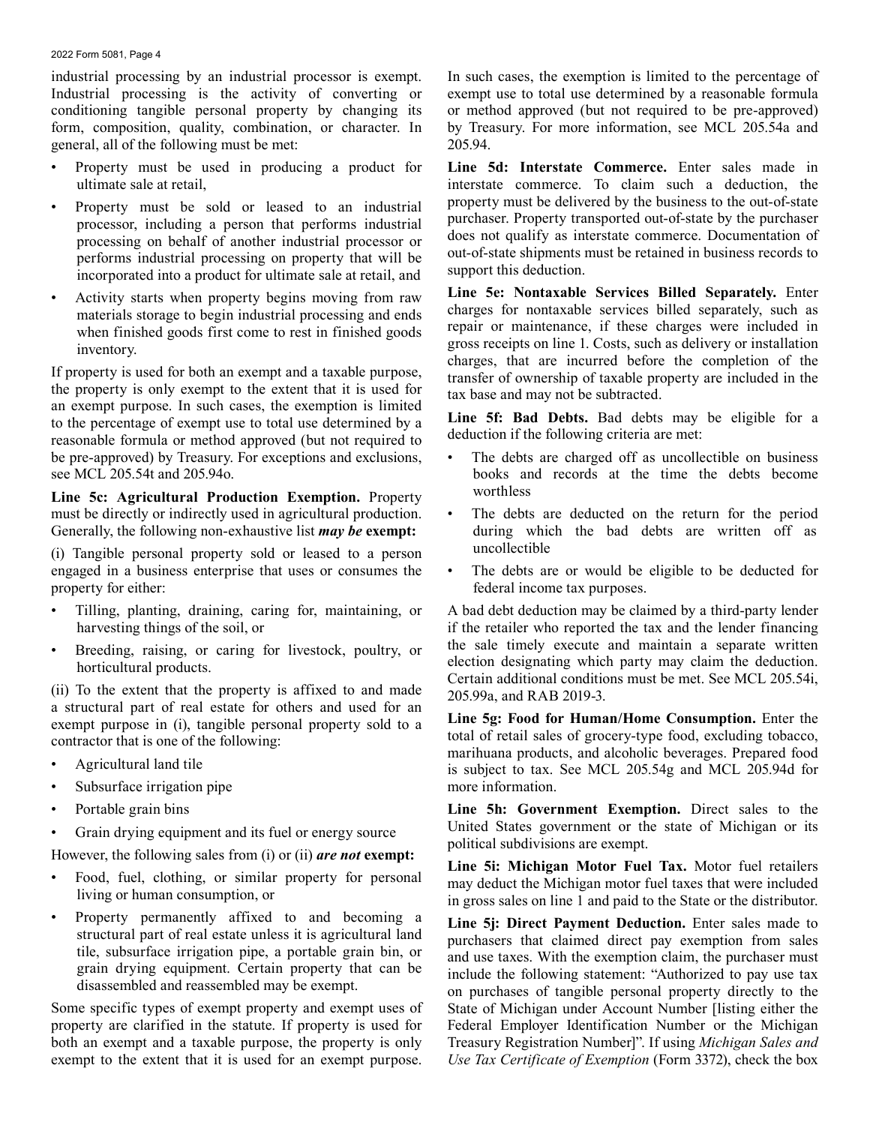#### 2022 Form 5081, Page 4

industrial processing by an industrial processor is exempt. Industrial processing is the activity of converting or conditioning tangible personal property by changing its form, composition, quality, combination, or character. In general, all of the following must be met:

- Property must be used in producing a product for ultimate sale at retail,
- Property must be sold or leased to an industrial processor, including a person that performs industrial processing on behalf of another industrial processor or performs industrial processing on property that will be incorporated into a product for ultimate sale at retail, and
- Activity starts when property begins moving from raw materials storage to begin industrial processing and ends when finished goods first come to rest in finished goods inventory.

If property is used for both an exempt and a taxable purpose, the property is only exempt to the extent that it is used for an exempt purpose. In such cases, the exemption is limited to the percentage of exempt use to total use determined by a reasonable formula or method approved (but not required to be pre-approved) by Treasury. For exceptions and exclusions, see MCL 205.54t and 205.94o.

**Line 5c: Agricultural Production Exemption.** Property must be directly or indirectly used in agricultural production. Generally, the following non-exhaustive list *may be* **exempt:** 

(i) Tangible personal property sold or leased to a person engaged in a business enterprise that uses or consumes the property for either:

- Tilling, planting, draining, caring for, maintaining, or harvesting things of the soil, or
- Breeding, raising, or caring for livestock, poultry, or horticultural products.

(ii) To the extent that the property is affixed to and made a structural part of real estate for others and used for an exempt purpose in (i), tangible personal property sold to a contractor that is one of the following:

- Agricultural land tile
- Subsurface irrigation pipe
- Portable grain bins
- Grain drying equipment and its fuel or energy source

However, the following sales from (i) or (ii) *are not* **exempt:** 

- Food, fuel, clothing, or similar property for personal living or human consumption, or
- Property permanently affixed to and becoming a structural part of real estate unless it is agricultural land tile, subsurface irrigation pipe, a portable grain bin, or grain drying equipment. Certain property that can be disassembled and reassembled may be exempt.

Some specific types of exempt property and exempt uses of property are clarified in the statute. If property is used for both an exempt and a taxable purpose, the property is only exempt to the extent that it is used for an exempt purpose.

In such cases, the exemption is limited to the percentage of exempt use to total use determined by a reasonable formula or method approved (but not required to be pre-approved) by Treasury. For more information, see MCL 205.54a and 205.94.

**Line 5d: Interstate Commerce.** Enter sales made in interstate commerce. To claim such a deduction, the property must be delivered by the business to the out-of-state purchaser. Property transported out-of-state by the purchaser does not qualify as interstate commerce. Documentation of out-of-state shipments must be retained in business records to support this deduction.

**Line 5e: Nontaxable Services Billed Separately.** Enter charges for nontaxable services billed separately, such as repair or maintenance, if these charges were included in gross receipts on line 1. Costs, such as delivery or installation charges, that are incurred before the completion of the transfer of ownership of taxable property are included in the tax base and may not be subtracted.

**Line 5f: Bad Debts.** Bad debts may be eligible for a deduction if the following criteria are met:

- The debts are charged off as uncollectible on business books and records at the time the debts become worthless
- The debts are deducted on the return for the period during which the bad debts are written off as uncollectible
- The debts are or would be eligible to be deducted for federal income tax purposes.

A bad debt deduction may be claimed by a third-party lender if the retailer who reported the tax and the lender financing the sale timely execute and maintain a separate written election designating which party may claim the deduction. Certain additional conditions must be met. See MCL 205.54i, 205.99a, and RAB 2019-3.

**Line 5g: Food for Human/Home Consumption.** Enter the total of retail sales of grocery-type food, excluding tobacco, marihuana products, and alcoholic beverages. Prepared food is subject to tax. See MCL 205.54g and MCL 205.94d for more information.

**Line 5h: Government Exemption.** Direct sales to the United States government or the state of Michigan or its political subdivisions are exempt.

**Line 5i: Michigan Motor Fuel Tax.** Motor fuel retailers may deduct the Michigan motor fuel taxes that were included in gross sales on line 1 and paid to the State or the distributor.

Line 5*j*: Direct Payment Deduction. Enter sales made to purchasers that claimed direct pay exemption from sales and use taxes. With the exemption claim, the purchaser must include the following statement: "Authorized to pay use tax on purchases of tangible personal property directly to the State of Michigan under Account Number [listing either the Federal Employer Identification Number or the Michigan Treasury Registration Number]". If using *Michigan Sales and Use Tax Certificate of Exemption* (Form 3372), check the box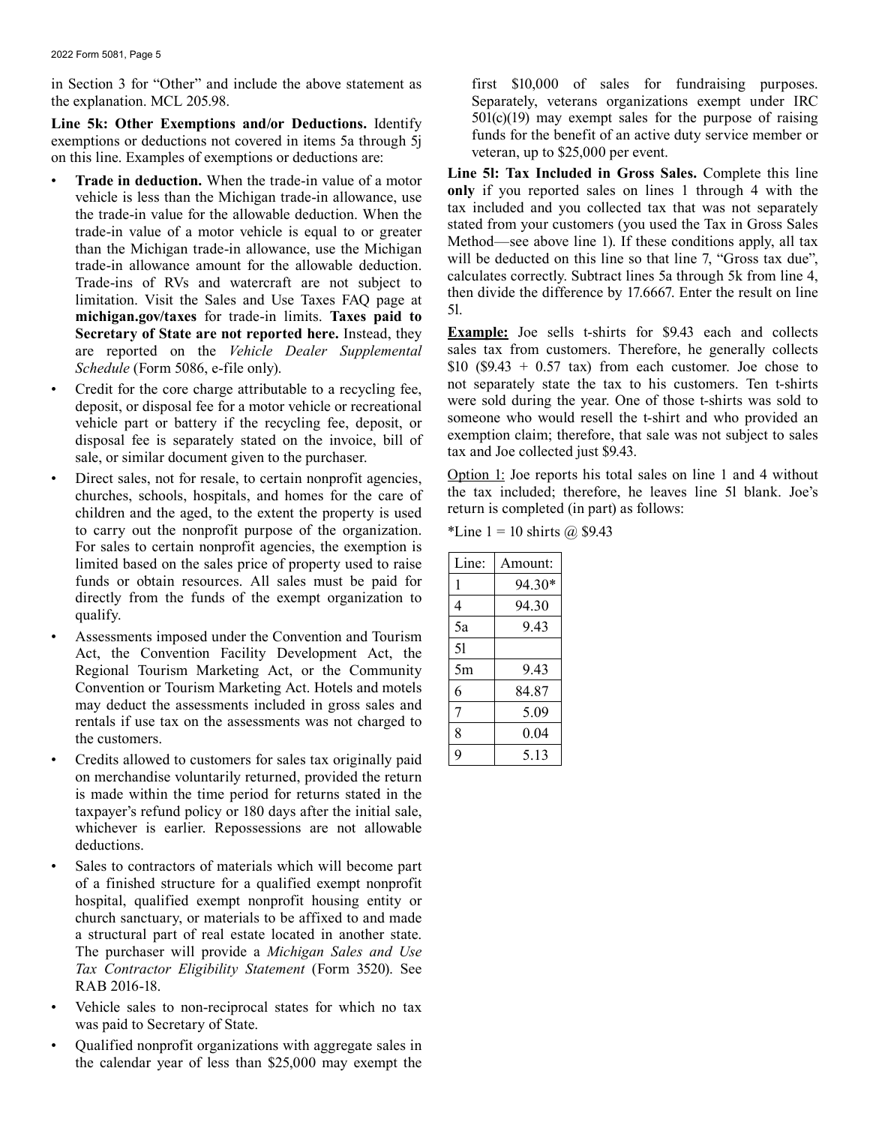in Section 3 for "Other" and include the above statement as first \$10,000 of sales for fundraising purposes. the explanation. MCL 205.98. Separately, veterans organizations exempt under IRC

**Line 5k: Other Exemptions and/or Deductions.** Identify exemptions or deductions not covered in items 5a through 5j on this line. Examples of exemptions or deductions are:

- **Trade in deduction.** When the trade-in value of a motor vehicle is less than the Michigan trade-in allowance, use the trade-in value for the allowable deduction. When the trade-in value of a motor vehicle is equal to or greater than the Michigan trade-in allowance, use the Michigan trade-in allowance amount for the allowable deduction. Trade-ins of RVs and watercraft are not subject to limitation. Visit the Sales and Use Taxes FAQ page at **[michigan.gov/taxes](https://michigan.gov/taxes)** for trade-in limits. **Taxes paid to Secretary of State are not reported here.** Instead, they are reported on the *Vehicle Dealer Supplemental Schedule* (Form 5086, e-file only).
- Credit for the core charge attributable to a recycling fee, deposit, or disposal fee for a motor vehicle or recreational vehicle part or battery if the recycling fee, deposit, or disposal fee is separately stated on the invoice, bill of sale, or similar document given to the purchaser.
- Direct sales, not for resale, to certain nonprofit agencies, churches, schools, hospitals, and homes for the care of children and the aged, to the extent the property is used to carry out the nonprofit purpose of the organization. For sales to certain nonprofit agencies, the exemption is limited based on the sales price of property used to raise funds or obtain resources. All sales must be paid for directly from the funds of the exempt organization to qualify.
- Assessments imposed under the Convention and Tourism Act, the Convention Facility Development Act, the Regional Tourism Marketing Act, or the Community Convention or Tourism Marketing Act. Hotels and motels may deduct the assessments included in gross sales and rentals if use tax on the assessments was not charged to the customers.
- Credits allowed to customers for sales tax originally paid on merchandise voluntarily returned, provided the return is made within the time period for returns stated in the taxpayer's refund policy or 180 days after the initial sale, whichever is earlier. Repossessions are not allowable deductions.
- Sales to contractors of materials which will become part of a finished structure for a qualified exempt nonprofit hospital, qualified exempt nonprofit housing entity or church sanctuary, or materials to be affixed to and made a structural part of real estate located in another state. The purchaser will provide a *Michigan Sales and Use Tax Contractor Eligibility Statement* (Form 3520). See RAB 2016-18.
- Vehicle sales to non-reciprocal states for which no tax was paid to Secretary of State.
- Qualified nonprofit organizations with aggregate sales in the calendar year of less than \$25,000 may exempt the

 $501(c)(19)$  may exempt sales for the purpose of raising funds for the benefit of an active duty service member or veteran, up to \$25,000 per event.

**Line 5l: Tax Included in Gross Sales.** Complete this line **only** if you reported sales on lines 1 through 4 with the tax included and you collected tax that was not separately stated from your customers (you used the Tax in Gross Sales Method—see above line 1). If these conditions apply, all tax will be deducted on this line so that line 7, "Gross tax due", calculates correctly. Subtract lines 5a through 5k from line 4, then divide the difference by 17.6667. Enter the result on line 5l.

**Example:** Joe sells t-shirts for \$9.43 each and collects sales tax from customers. Therefore, he generally collects \$10 (\$9.43 + 0.57 tax) from each customer. Joe chose to not separately state the tax to his customers. Ten t-shirts were sold during the year. One of those t-shirts was sold to someone who would resell the t-shirt and who provided an exemption claim; therefore, that sale was not subject to sales tax and Joe collected just \$9.43.

Option 1: Joe reports his total sales on line 1 and 4 without the tax included; therefore, he leaves line 5l blank. Joe's return is completed (in part) as follows:

\*Line  $1 = 10$  shirts  $\omega$  \$9.43

| Line: | Amount: |
|-------|---------|
| 1     | 94.30*  |
| 4     | 94.30   |
| 5a    | 9.43    |
| 51    |         |
| 5m    | 9.43    |
| 6     | 84.87   |
| 7     | 5.09    |
| 8     | 0.04    |
| q     | 5.13    |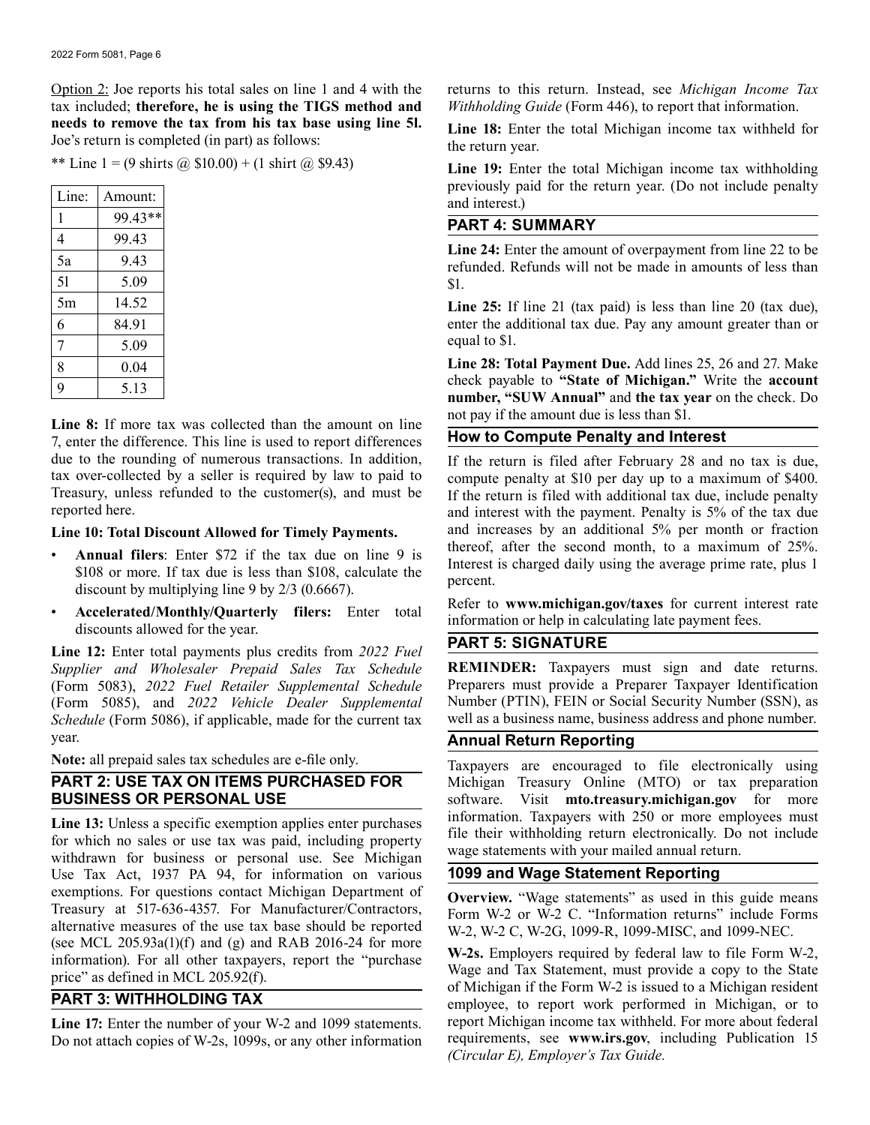Option 2: Joe reports his total sales on line 1 and 4 with the tax included; **therefore, he is using the TIGS method and needs to remove the tax from his tax base using line 5l.**  Joe's return is completed (in part) as follows:

\*\* Line 1 = (9 shirts @  $$10.00$ ) + (1 shirt @ \$9.43)

| Line: | Amount: |
|-------|---------|
| 1     | 99.43** |
| 4     | 99.43   |
| 5a    | 9.43    |
| 51    | 5.09    |
| 5m    | 14.52   |
| 6     | 84.91   |
| 7     | 5.09    |
| 8     | 0.04    |
| q     | 5.13    |

**Line 8:** If more tax was collected than the amount on line 7, enter the difference. This line is used to report differences due to the rounding of numerous transactions. In addition, tax over-collected by a seller is required by law to paid to Treasury, unless refunded to the customer(s), and must be reported here.

#### **Line 10: Total Discount Allowed for Timely Payments.**

- **Annual filers**: Enter \$72 if the tax due on line 9 is \$108 or more. If tax due is less than \$108, calculate the discount by multiplying line 9 by 2/3 (0.6667).
- **Accelerated/Monthly/Quarterly filers:** Enter total discounts allowed for the year.

**Line 12:** Enter total payments plus credits from *2022 Fuel Supplier and Wholesaler Prepaid Sales Tax Schedule*  (Form 5083), *2022 Fuel Retailer Supplemental Schedule*  (Form 5085), and *2022 Vehicle Dealer Supplemental Schedule* (Form 5086), if applicable, made for the current tax year.

**Note:** all prepaid sales tax schedules are e-file only.

## **PART 2: USE TAX ON ITEMS PURCHASED FOR BUSINESS OR PERSONAL USE**

**Line 13:** Unless a specific exemption applies enter purchases for which no sales or use tax was paid, including property withdrawn for business or personal use. See Michigan Use Tax Act, 1937 PA 94, for information on various exemptions. For questions contact Michigan Department of Treasury at 517-636-4357. For Manufacturer/Contractors, alternative measures of the use tax base should be reported (see MCL  $205.93a(1)(f)$  and (g) and RAB 2016-24 for more information). For all other taxpayers, report the "purchase price" as defined in MCL 205.92(f).

## **PART 3: WITHHOLDING TAX**

**Line 17:** Enter the number of your W-2 and 1099 statements. Do not attach copies of W-2s, 1099s, or any other information returns to this return. Instead, see *Michigan Income Tax Withholding Guide* (Form 446[\), to report that information](https://mto.treasury.michigan.gov).

Line 18: Enter the total Michigan income tax withheld for the return year.

**Line 19:** Enter the total Michigan income tax withholding previously paid for the return year. (Do not include penalty and interest.)

## **PART 4: SUMMARY**

**Line 24:** Enter the amount of overpayment from line 22 to be refunded. Refunds will not be made in amounts of less than \$1.

Line 25: If line 21 (tax paid) is less than line 20 (tax due), enter the additional tax due. Pay any amount greater than or equal to \$1.

**Line 28: Total Payment Due.** Add lines 25, 26 and 27. Make check payable to **"State of Michigan."** Write the **account number, "SUW Annual"** and **the tax year** on the check. Do not pay if the amount due is less than \$1.

## **How to Compute Penalty and Interest**

If the return is filed after February 28 and no tax is due, compute penalty at \$10 per day up to a maximum of \$400. If the return is filed with additional tax due, include penalty and interest with the payment. Penalty is 5% of the tax due and increases by an additional 5% per month or fraction thereof, after the second month, to a maximum of 25%. Interest is charged daily using the average prime rate, plus 1 percent.

Refer to **<www.michigan.gov/taxes>** for current interest rate information or help in calculating late payment fees.

## **PART 5: SIGNATURE**

**REMINDER:** Taxpayers must sign and date returns. Preparers must provide a Preparer Taxpayer Identification Number (PTIN), FEIN or Social Security Number (SSN), as well as a business name, business address and phone number.

## **Annual Return Reporting**

Taxpayers are encouraged to file electronically using Michigan Treasury Online (MTO) or tax preparation software. Visit **[mto.treasury.michigan.gov](https://mto.treasury.michigan.gov)** for more information. Taxpayers with 250 or more employees must file their withholding return electronically. Do not include wage statements with your mailed annual return.

## **1099 and Wage Statement Reporting**

**Overview.** "Wage statements" as used in this guide means Form W-2 or W-2 C. "Information returns" include Forms W-2, W-2 C, W-2G, 1099-R, 1099-MISC, and 1099-NEC.

**W-2s.** Employers required by federal law to file Form W-2, Wage and Tax Statement, must provide a copy to the State of Michigan if the Form W-2 is issued to a Michigan resident employee, to report work performed in Michigan, or to report Michigan income tax withheld. For more about federal requirements, see **<www.irs.gov>**, including Publication 15 *(Circular E), Employer's Tax Guide.*